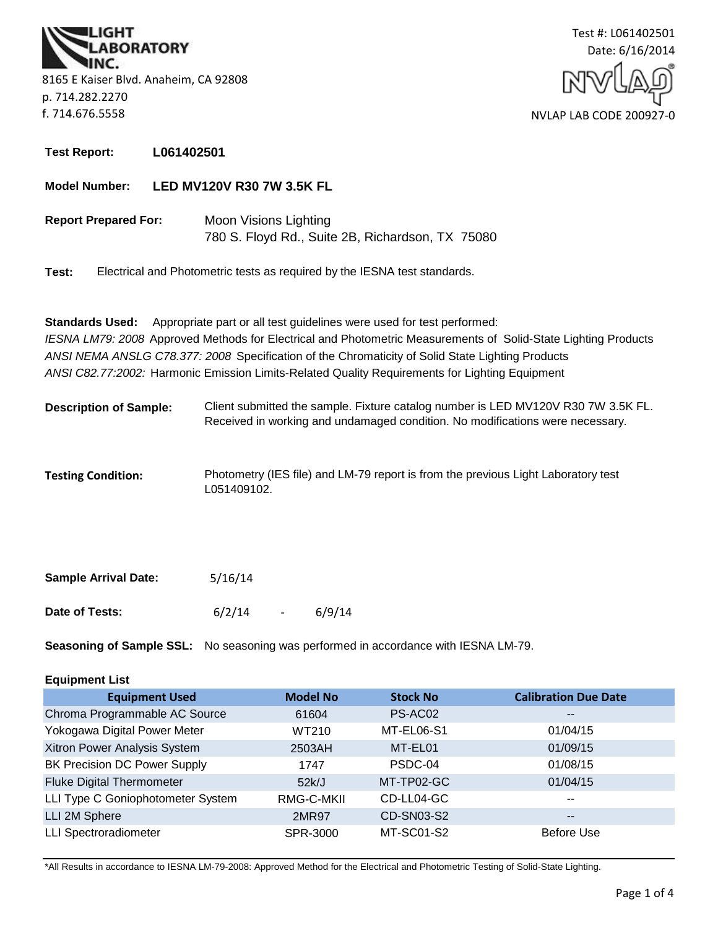**BORATORY** 8165 E Kaiser Blvd. Anaheim, CA 92808 p. 714.282.2270 f. 714.676.5558



**Test Report: L061402501**

**Model Number: LED MV120V R30 7W 3.5K FL**

**Report Prepared For:** Moon Visions Lighting 780 S. Floyd Rd., Suite 2B, Richardson, TX 75080

**Test:** Electrical and Photometric tests as required by the IESNA test standards.

*ANSI C82.77:2002:* Harmonic Emission Limits-Related Quality Requirements for Lighting Equipment **Standards Used:** Appropriate part or all test guidelines were used for test performed: *IESNA LM79: 2008* Approved Methods for Electrical and Photometric Measurements of Solid-State Lighting Products *ANSI NEMA ANSLG C78.377: 2008* Specification of the Chromaticity of Solid State Lighting Products

- **Description of Sample:** Client submitted the sample. Fixture catalog number is LED MV120V R30 7W 3.5K FL. Received in working and undamaged condition. No modifications were necessary.
- **Testing Condition:** Photometry (IES file) and LM-79 report is from the previous Light Laboratory test L051409102.

| <b>Sample Arrival Date:</b> | 5/16/14 |        |
|-----------------------------|---------|--------|
| Date of Tests:              | 6/2/14  | 6/9/14 |

**Seasoning of Sample SSL:** No seasoning was performed in accordance with IESNA LM-79.

## **Equipment List**

| <b>Equipment Used</b>               | <b>Model No</b> | <b>Stock No</b>   | <b>Calibration Due Date</b> |
|-------------------------------------|-----------------|-------------------|-----------------------------|
| Chroma Programmable AC Source       | 61604           | PS-AC02           | $- -$                       |
| Yokogawa Digital Power Meter        | WT210           | MT-EL06-S1        | 01/04/15                    |
| Xitron Power Analysis System        | 2503AH          | MT-EL01           | 01/09/15                    |
| <b>BK Precision DC Power Supply</b> | 1747            | PSDC-04           | 01/08/15                    |
| <b>Fluke Digital Thermometer</b>    | 52k/J           | MT-TP02-GC        | 01/04/15                    |
| LLI Type C Goniophotometer System   | RMG-C-MKII      | CD-LL04-GC        | $\overline{\phantom{a}}$    |
| LLI 2M Sphere                       | 2MR97           | <b>CD-SN03-S2</b> | $\overline{\phantom{m}}$    |
| <b>LLI Spectroradiometer</b>        | SPR-3000        | MT-SC01-S2        | <b>Before Use</b>           |

\*All Results in accordance to IESNA LM-79-2008: Approved Method for the Electrical and Photometric Testing of Solid-State Lighting.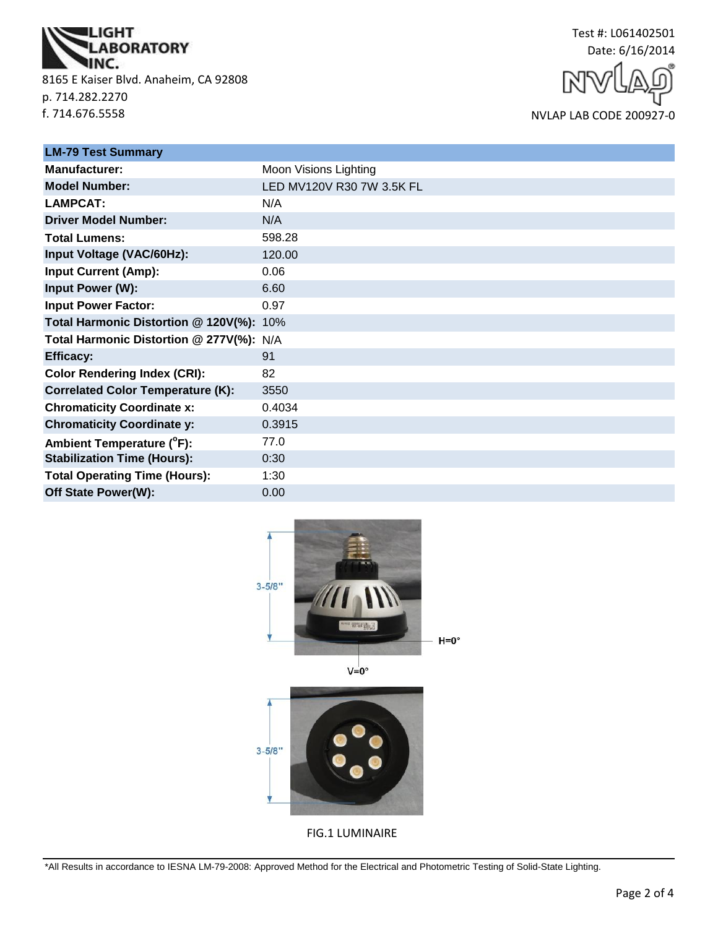

8165 E Kaiser Blvd. Anaheim, CA 92808 p. 714.282.2270 f. 714.676.5558



NVLAP LAB CODE 200927-0

| <b>LM-79 Test Summary</b>                |                           |  |  |
|------------------------------------------|---------------------------|--|--|
| <b>Manufacturer:</b>                     | Moon Visions Lighting     |  |  |
| <b>Model Number:</b>                     | LED MV120V R30 7W 3.5K FL |  |  |
| <b>LAMPCAT:</b>                          | N/A                       |  |  |
| <b>Driver Model Number:</b>              | N/A                       |  |  |
| <b>Total Lumens:</b>                     | 598.28                    |  |  |
| Input Voltage (VAC/60Hz):                | 120.00                    |  |  |
| <b>Input Current (Amp):</b>              | 0.06                      |  |  |
| Input Power (W):                         | 6.60                      |  |  |
| <b>Input Power Factor:</b>               | 0.97                      |  |  |
| Total Harmonic Distortion @ 120V(%): 10% |                           |  |  |
| Total Harmonic Distortion @ 277V(%): N/A |                           |  |  |
| <b>Efficacy:</b>                         | 91                        |  |  |
| <b>Color Rendering Index (CRI):</b>      | 82                        |  |  |
| <b>Correlated Color Temperature (K):</b> | 3550                      |  |  |
| <b>Chromaticity Coordinate x:</b>        | 0.4034                    |  |  |
| <b>Chromaticity Coordinate y:</b>        | 0.3915                    |  |  |
| Ambient Temperature (°F):                | 77.0                      |  |  |
| <b>Stabilization Time (Hours):</b>       | 0:30                      |  |  |
| <b>Total Operating Time (Hours):</b>     | 1:30                      |  |  |
| Off State Power(W):                      | 0.00                      |  |  |



 $V=0^\circ$ 



FIG.1 LUMINAIRE

\*All Results in accordance to IESNA LM-79-2008: Approved Method for the Electrical and Photometric Testing of Solid-State Lighting.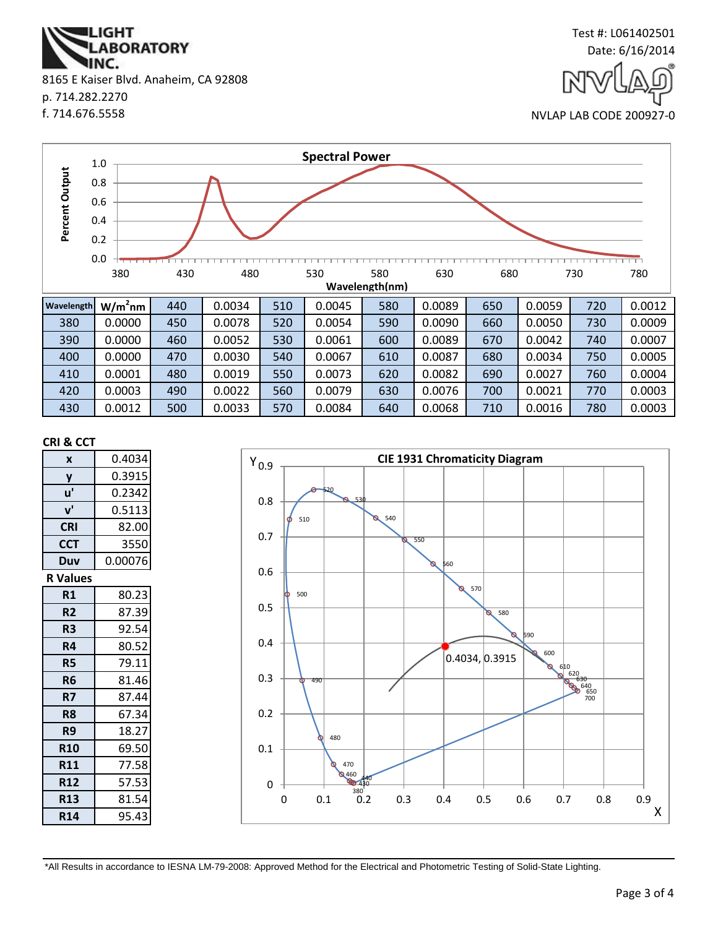\*All Results in accordance to IESNA LM-79-2008: Approved Method for the Electrical and Photometric Testing of Solid-State Lighting.

0

X



**CRI & CCT**

**CIE 1931 Chromaticity Diagram**  $Y_{0.9}$ 520 0.8 530 540 510 0.7 550 560 0.6 570 O 500 0.5 580  $\overline{\circ}$ 590 0.4 600 0.4034, 0.3915 610<br>
620<br>
630<br>
640<br>
650<br>
700 0.3 490 0.2 480 0.1

0 0.1 0.2 0.3 0.4 0.5 0.6 0.7 0.8 0.9

| Output<br>Percent | 0.8<br>0.6<br>0.4<br>0.2 |     |        |     |        |                       |        |     |        |     |        |
|-------------------|--------------------------|-----|--------|-----|--------|-----------------------|--------|-----|--------|-----|--------|
|                   | 0.0<br>380               | 430 | 480    |     | 530    | 580<br>Wavelength(nm) | 630    | 680 |        | 730 | 780    |
| Wavelength        | $W/m2$ nm                | 440 | 0.0034 | 510 | 0.0045 | 580                   | 0.0089 | 650 | 0.0059 | 720 | 0.0012 |
| 380               | 0.0000                   | 450 | 0.0078 | 520 | 0.0054 | 590                   | 0.0090 | 660 | 0.0050 | 730 | 0.0009 |
| 390               | 0.0000                   | 460 | 0.0052 | 530 | 0.0061 | 600                   | 0.0089 | 670 | 0.0042 | 740 | 0.0007 |
| 400               | 0.0000                   | 470 | 0.0030 | 540 | 0.0067 | 610                   | 0.0087 | 680 | 0.0034 | 750 | 0.0005 |
| 410               | 0.0001                   | 480 | 0.0019 | 550 | 0.0073 | 620                   | 0.0082 | 690 | 0.0027 | 760 | 0.0004 |

**Spectral Power**

420 | 0.0003 | 490 | 0.0022 | 560 | 0.0079 | 630 | 0.0076 | 700 | 0.0021 | 770 | 0.0003 430 | 0.0012 | 500 | 0.0033 | 570 | 0.0084 | 640 | 0.0068 | 710 | 0.0016 | 780 | 0.0003

8165 E Kaiser Blvd. Anaheim, CA 92808 p. 714.282.2270 f. 714.676.5558

**IGHT** 

IINC.

**ABORATORY** 

1.0  $+$ 



NVLAP LAB CODE 200927-0

Test #: L061402501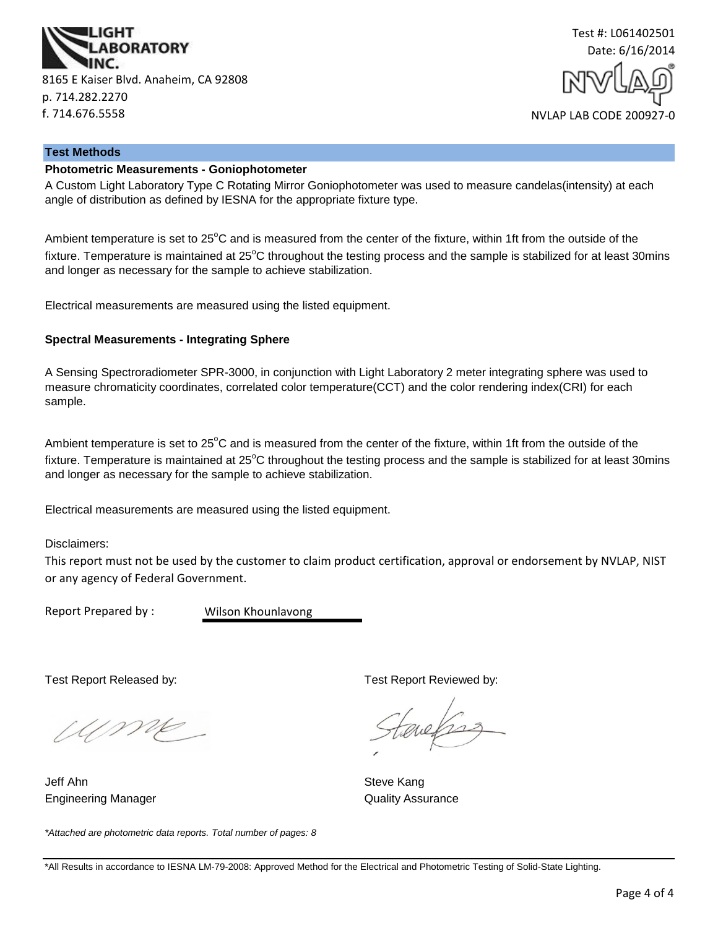



#### **Test Methods**

## **Photometric Measurements - Goniophotometer**

A Custom Light Laboratory Type C Rotating Mirror Goniophotometer was used to measure candelas(intensity) at each angle of distribution as defined by IESNA for the appropriate fixture type.

Ambient temperature is set to  $25^{\circ}$ C and is measured from the center of the fixture, within 1ft from the outside of the fixture. Temperature is maintained at  $25^{\circ}$ C throughout the testing process and the sample is stabilized for at least 30mins and longer as necessary for the sample to achieve stabilization.

Electrical measurements are measured using the listed equipment.

#### **Spectral Measurements - Integrating Sphere**

A Sensing Spectroradiometer SPR-3000, in conjunction with Light Laboratory 2 meter integrating sphere was used to measure chromaticity coordinates, correlated color temperature(CCT) and the color rendering index(CRI) for each sample.

Ambient temperature is set to  $25^{\circ}$ C and is measured from the center of the fixture, within 1ft from the outside of the fixture. Temperature is maintained at  $25^{\circ}$ C throughout the testing process and the sample is stabilized for at least 30mins and longer as necessary for the sample to achieve stabilization.

Electrical measurements are measured using the listed equipment.

Disclaimers:

This report must not be used by the customer to claim product certification, approval or endorsement by NVLAP, NIST or any agency of Federal Government.

Report Prepared by :

Wilson Khounlavong

UME

Jeff Ahn Steve Kang Engineering Manager **Contract Contract Contract Contract Contract Contract Contract Contract Contract Contract Contract Contract Contract Contract Contract Contract Contract Contract Contract Contract Contract Contract Con** 

*\*Attached are photometric data reports. Total number of pages: 8*

Test Report Released by: Test Report Reviewed by: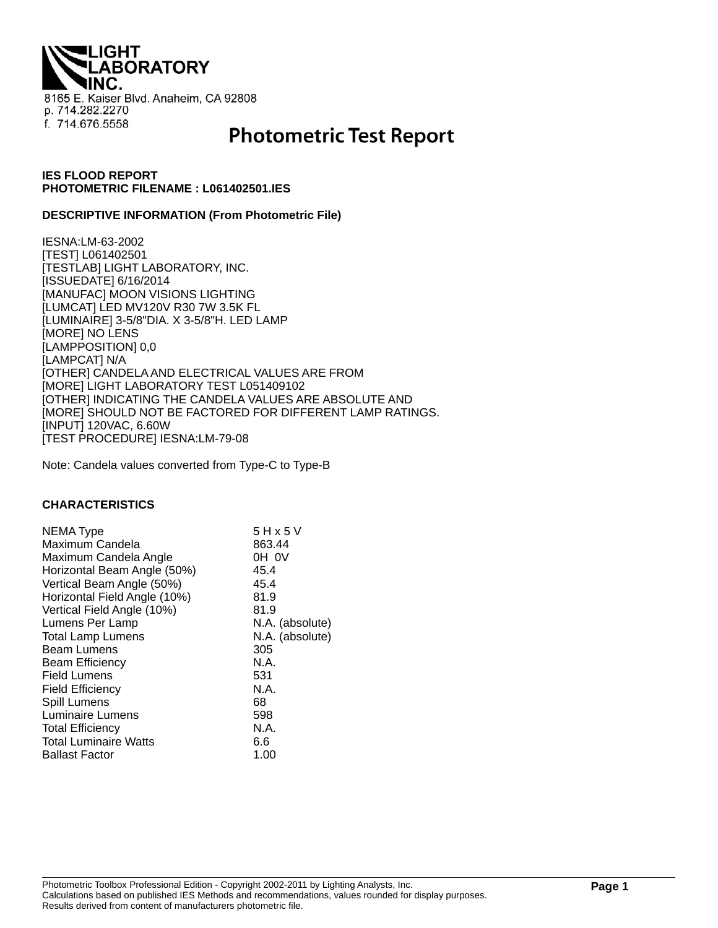**THQI. ABORATORY** 8165 E. Kaiser Blvd. Anaheim, CA 92808 p. 714.282.2270 f. 714.676.5558

# **Photometric Test Report**

## **IES FLOOD REPORT PHOTOMETRIC FILENAME : L061402501.IES**

#### **DESCRIPTIVE INFORMATION (From Photometric File)**

IESNA:LM-63-2002 [TEST] L061402501 [TESTLAB] LIGHT LABORATORY, INC. [ISSUEDATE] 6/16/2014 [MANUFAC] MOON VISIONS LIGHTING [LUMCAT] LED MV120V R30 7W 3.5K FL [LUMINAIRE] 3-5/8"DIA. X 3-5/8"H. LED LAMP [MORE] NO LENS [LAMPPOSITION] 0,0 [LAMPCAT] N/A [OTHER] CANDELA AND ELECTRICAL VALUES ARE FROM [MORE] LIGHT LABORATORY TEST L051409102 [OTHER] INDICATING THE CANDELA VALUES ARE ABSOLUTE AND [MORE] SHOULD NOT BE FACTORED FOR DIFFERENT LAMP RATINGS. [INPUT] 120VAC, 6.60W [TEST PROCEDURE] IESNA:LM-79-08

Note: Candela values converted from Type-C to Type-B

#### **CHARACTERISTICS**

| <b>NEMA Type</b>             | 5 H x 5 V       |
|------------------------------|-----------------|
| Maximum Candela              | 863.44          |
| Maximum Candela Angle        | OH OV           |
| Horizontal Beam Angle (50%)  | 45.4            |
| Vertical Beam Angle (50%)    | 45.4            |
| Horizontal Field Angle (10%) | 81.9            |
| Vertical Field Angle (10%)   | 81.9            |
| Lumens Per Lamp              | N.A. (absolute) |
| <b>Total Lamp Lumens</b>     | N.A. (absolute) |
| <b>Beam Lumens</b>           | 305             |
| <b>Beam Efficiency</b>       | N.A.            |
| <b>Field Lumens</b>          | 531             |
| <b>Field Efficiency</b>      | N.A.            |
| Spill Lumens                 | 68              |
| Luminaire Lumens             | 598             |
| <b>Total Efficiency</b>      | N.A.            |
| <b>Total Luminaire Watts</b> | 6.6             |
| <b>Ballast Factor</b>        | 1.00            |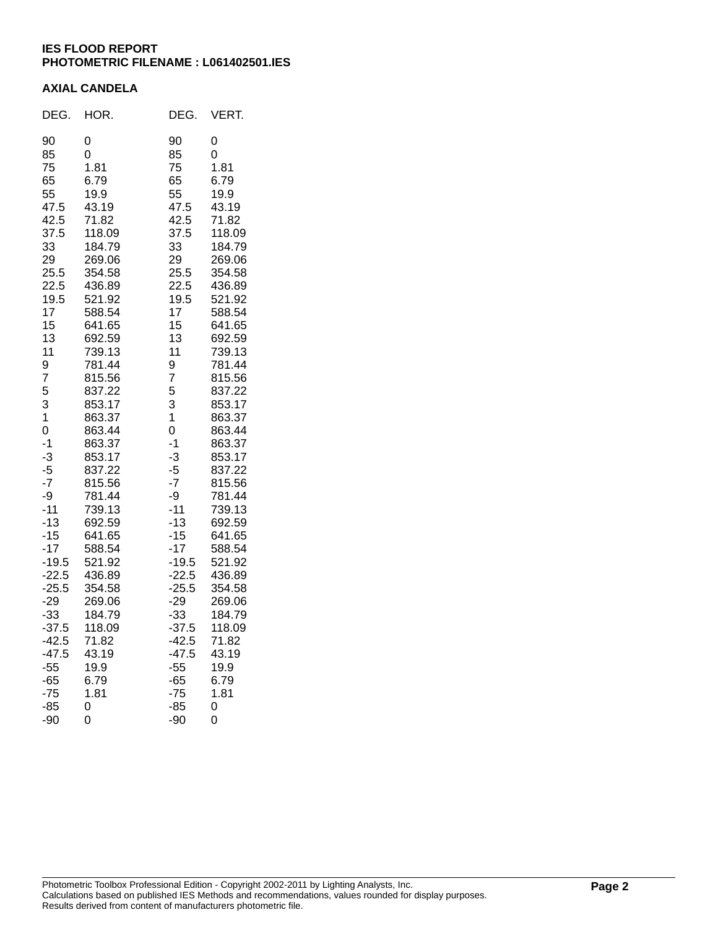## **IES FLOOD REPORT PHOTOMETRIC FILENAME : L061402501.IES**

### **AXIAL CANDELA**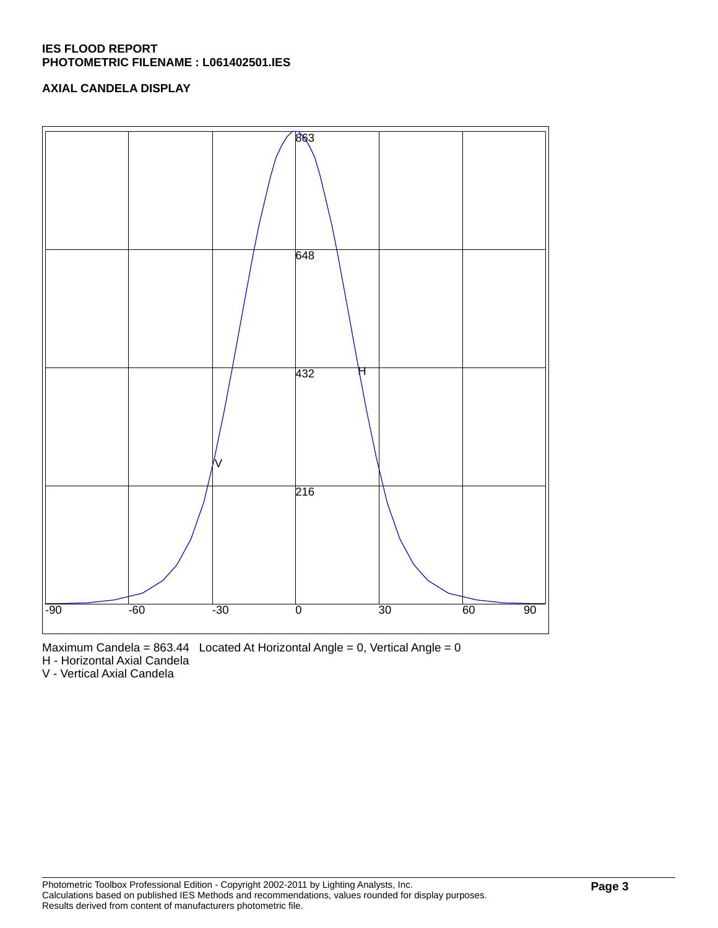## **IES FLOOD REPORT PHOTOMETRIC FILENAME : L061402501.IES**

## **AXIAL CANDELA DISPLAY**



Maximum Candela =  $863.44$  Located At Horizontal Angle = 0, Vertical Angle = 0

H - Horizontal Axial Candela

V - Vertical Axial Candela